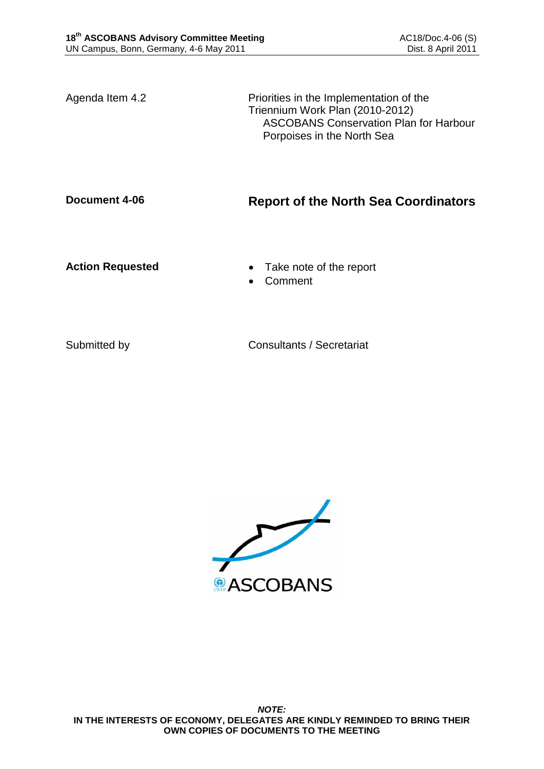Agenda Item 4.2 **Priorities** in the Implementation of the Triennium Work Plan (2010-2012) ASCOBANS Conservation Plan for Harbour Porpoises in the North Sea

# **Document 4-06 Report of the North Sea Coordinators**

- Action Requested **CELL CELL CELL** Take note of the report
	- Comment

Submitted by Consultants / Secretariat

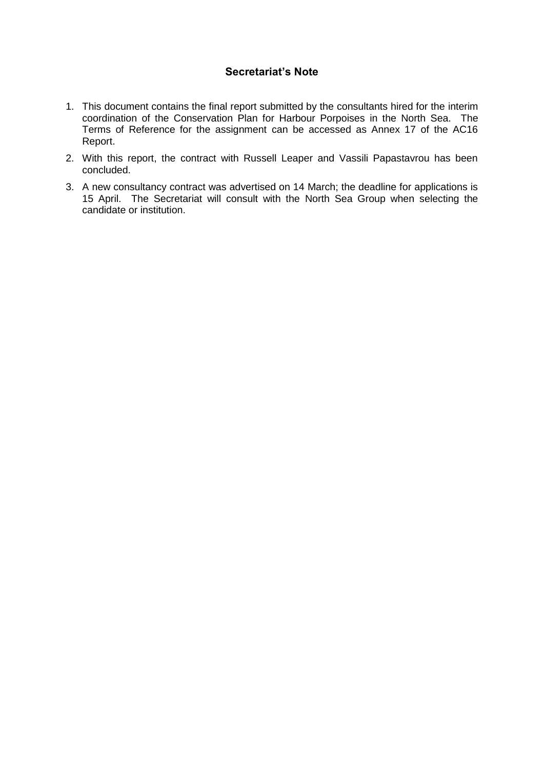## **Secretariat's Note**

- 1. This document contains the final report submitted by the consultants hired for the interim coordination of the Conservation Plan for Harbour Porpoises in the North Sea. The Terms of Reference for the assignment can be accessed as Annex 17 of the AC16 Report.
- 2. With this report, the contract with Russell Leaper and Vassili Papastavrou has been concluded.
- 3. A new consultancy contract was advertised on 14 March; the deadline for applications is 15 April. The Secretariat will consult with the North Sea Group when selecting the candidate or institution.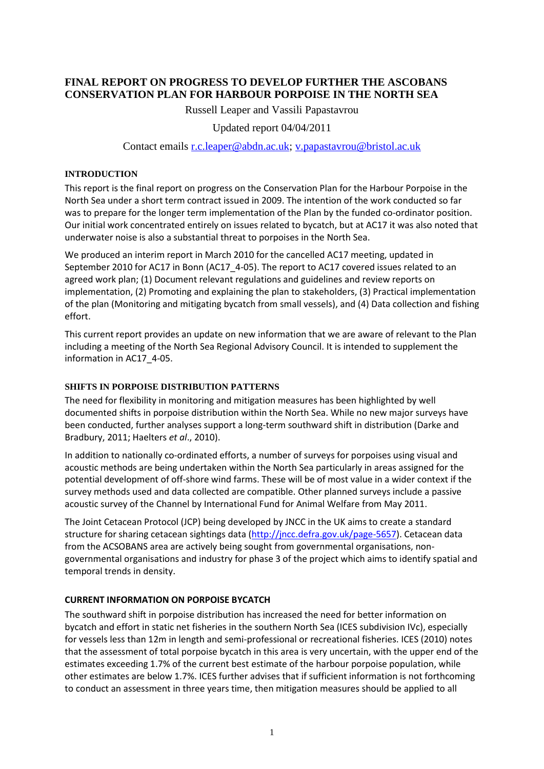# **FINAL REPORT ON PROGRESS TO DEVELOP FURTHER THE ASCOBANS CONSERVATION PLAN FOR HARBOUR PORPOISE IN THE NORTH SEA**

Russell Leaper and Vassili Papastavrou

## Updated report 04/04/2011

### Contact emails [r.c.leaper@abdn.ac.uk;](mailto:r.c.leaper@abdn.ac.uk) [v.papastavrou@bristol.ac.uk](mailto:v.papastavrou@bristol.ac.uk)

#### **INTRODUCTION**

This report is the final report on progress on the Conservation Plan for the Harbour Porpoise in the North Sea under a short term contract issued in 2009. The intention of the work conducted so far was to prepare for the longer term implementation of the Plan by the funded co-ordinator position. Our initial work concentrated entirely on issues related to bycatch, but at AC17 it was also noted that underwater noise is also a substantial threat to porpoises in the North Sea.

We produced an interim report in March 2010 for the cancelled AC17 meeting, updated in September 2010 for AC17 in Bonn (AC17\_4-05). The report to AC17 covered issues related to an agreed work plan; (1) Document relevant regulations and guidelines and review reports on implementation, (2) Promoting and explaining the plan to stakeholders, (3) Practical implementation of the plan (Monitoring and mitigating bycatch from small vessels), and (4) Data collection and fishing effort.

This current report provides an update on new information that we are aware of relevant to the Plan including a meeting of the North Sea Regional Advisory Council. It is intended to supplement the information in AC17\_4-05.

#### **SHIFTS IN PORPOISE DISTRIBUTION PATTERNS**

The need for flexibility in monitoring and mitigation measures has been highlighted by well documented shifts in porpoise distribution within the North Sea. While no new major surveys have been conducted, further analyses support a long-term southward shift in distribution (Darke and Bradbury, 2011; Haelters *et al*., 2010).

In addition to nationally co-ordinated efforts, a number of surveys for porpoises using visual and acoustic methods are being undertaken within the North Sea particularly in areas assigned for the potential development of off-shore wind farms. These will be of most value in a wider context if the survey methods used and data collected are compatible. Other planned surveys include a passive acoustic survey of the Channel by International Fund for Animal Welfare from May 2011.

The Joint Cetacean Protocol (JCP) being developed by JNCC in the UK aims to create a standard structure for sharing cetacean sightings data [\(http://jncc.defra.gov.uk/page-5657\)](http://jncc.defra.gov.uk/page-5657). Cetacean data from the ACSOBANS area are actively being sought from governmental organisations, nongovernmental organisations and industry for phase 3 of the project which aims to identify spatial and temporal trends in density.

## **CURRENT INFORMATION ON PORPOISE BYCATCH**

The southward shift in porpoise distribution has increased the need for better information on bycatch and effort in static net fisheries in the southern North Sea (ICES subdivision IVc), especially for vessels less than 12m in length and semi-professional or recreational fisheries. ICES (2010) notes that the assessment of total porpoise bycatch in this area is very uncertain, with the upper end of the estimates exceeding 1.7% of the current best estimate of the harbour porpoise population, while other estimates are below 1.7%. ICES further advises that if sufficient information is not forthcoming to conduct an assessment in three years time, then mitigation measures should be applied to all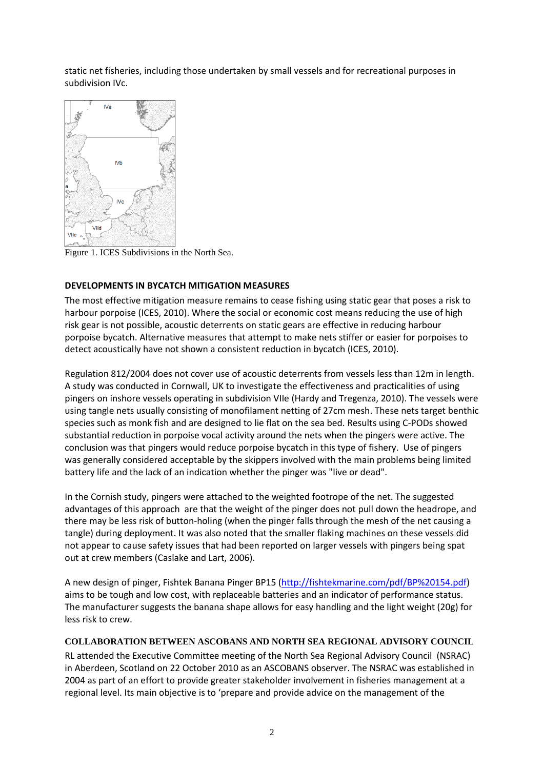static net fisheries, including those undertaken by small vessels and for recreational purposes in subdivision IVc.



Figure 1. ICES Subdivisions in the North Sea.

## **DEVELOPMENTS IN BYCATCH MITIGATION MEASURES**

The most effective mitigation measure remains to cease fishing using static gear that poses a risk to harbour porpoise (ICES, 2010). Where the social or economic cost means reducing the use of high risk gear is not possible, acoustic deterrents on static gears are effective in reducing harbour porpoise bycatch. Alternative measures that attempt to make nets stiffer or easier for porpoises to detect acoustically have not shown a consistent reduction in bycatch (ICES, 2010).

Regulation 812/2004 does not cover use of acoustic deterrents from vessels less than 12m in length. A study was conducted in Cornwall, UK to investigate the effectiveness and practicalities of using pingers on inshore vessels operating in subdivision VIIe (Hardy and Tregenza, 2010). The vessels were using tangle nets usually consisting of monofilament netting of 27cm mesh. These nets target benthic species such as monk fish and are designed to lie flat on the sea bed. Results using C-PODs showed substantial reduction in porpoise vocal activity around the nets when the pingers were active. The conclusion was that pingers would reduce porpoise bycatch in this type of fishery. Use of pingers was generally considered acceptable by the skippers involved with the main problems being limited battery life and the lack of an indication whether the pinger was "live or dead".

In the Cornish study, pingers were attached to the weighted footrope of the net. The suggested advantages of this approach are that the weight of the pinger does not pull down the headrope, and there may be less risk of button-holing (when the pinger falls through the mesh of the net causing a tangle) during deployment. It was also noted that the smaller flaking machines on these vessels did not appear to cause safety issues that had been reported on larger vessels with pingers being spat out at crew members (Caslake and Lart, 2006).

A new design of pinger, Fishtek Banana Pinger BP15 [\(http://fishtekmarine.com/pdf/BP%20154.pdf\)](http://fishtekmarine.com/pdf/BP%20154.pdf) aims to be tough and low cost, with replaceable batteries and an indicator of performance status. The manufacturer suggests the banana shape allows for easy handling and the light weight (20g) for less risk to crew.

## **COLLABORATION BETWEEN ASCOBANS AND NORTH SEA REGIONAL ADVISORY COUNCIL**

RL attended the Executive Committee meeting of the North Sea Regional Advisory Council (NSRAC) in Aberdeen, Scotland on 22 October 2010 as an ASCOBANS observer. The NSRAC was established in 2004 as part of an effort to provide greater stakeholder involvement in fisheries management at a regional level. Its main objective is to 'prepare and provide advice on the management of the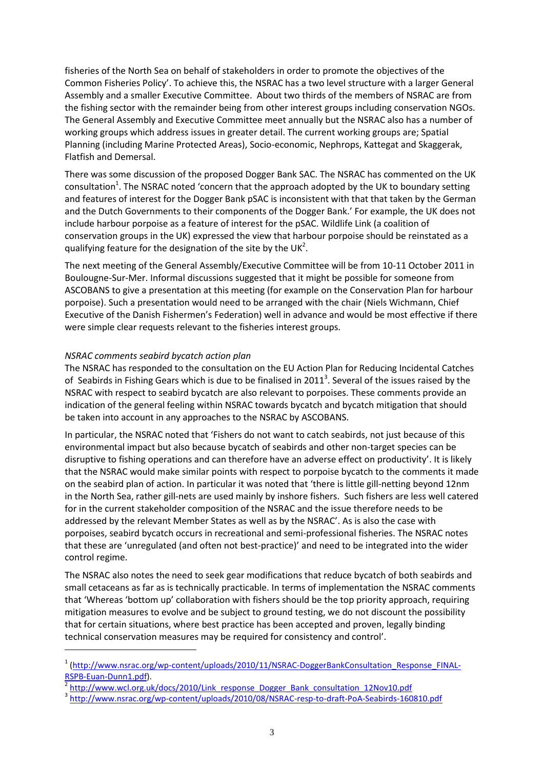fisheries of the North Sea on behalf of stakeholders in order to promote the objectives of the Common Fisheries Policy'. To achieve this, the NSRAC has a two level structure with a larger General Assembly and a smaller Executive Committee. About two thirds of the members of NSRAC are from the fishing sector with the remainder being from other interest groups including conservation NGOs. The General Assembly and Executive Committee meet annually but the NSRAC also has a number of working groups which address issues in greater detail. The current working groups are; Spatial Planning (including Marine Protected Areas), Socio-economic, Nephrops, Kattegat and Skaggerak, Flatfish and Demersal.

There was some discussion of the proposed Dogger Bank SAC. The NSRAC has commented on the UK consultation<sup>1</sup>. The NSRAC noted 'concern that the approach adopted by the UK to boundary setting and features of interest for the Dogger Bank pSAC is inconsistent with that that taken by the German and the Dutch Governments to their components of the Dogger Bank.' For example, the UK does not include harbour porpoise as a feature of interest for the pSAC. Wildlife Link (a coalition of conservation groups in the UK) expressed the view that harbour porpoise should be reinstated as a qualifying feature for the designation of the site by the UK<sup>2</sup>.

The next meeting of the General Assembly/Executive Committee will be from 10-11 October 2011 in Boulougne-Sur-Mer. Informal discussions suggested that it might be possible for someone from ASCOBANS to give a presentation at this meeting (for example on the Conservation Plan for harbour porpoise). Such a presentation would need to be arranged with the chair (Niels Wichmann, Chief Executive of the Danish Fishermen's Federation) well in advance and would be most effective if there were simple clear requests relevant to the fisheries interest groups.

#### *NSRAC comments seabird bycatch action plan*

 $\overline{a}$ 

The NSRAC has responded to the consultation on the EU Action Plan for Reducing Incidental Catches of Seabirds in Fishing Gears which is due to be finalised in 2011<sup>3</sup>. Several of the issues raised by the NSRAC with respect to seabird bycatch are also relevant to porpoises. These comments provide an indication of the general feeling within NSRAC towards bycatch and bycatch mitigation that should be taken into account in any approaches to the NSRAC by ASCOBANS.

In particular, the NSRAC noted that 'Fishers do not want to catch seabirds, not just because of this environmental impact but also because bycatch of seabirds and other non-target species can be disruptive to fishing operations and can therefore have an adverse effect on productivity'. It is likely that the NSRAC would make similar points with respect to porpoise bycatch to the comments it made on the seabird plan of action. In particular it was noted that 'there is little gill-netting beyond 12nm in the North Sea, rather gill-nets are used mainly by inshore fishers. Such fishers are less well catered for in the current stakeholder composition of the NSRAC and the issue therefore needs to be addressed by the relevant Member States as well as by the NSRAC'. As is also the case with porpoises, seabird bycatch occurs in recreational and semi-professional fisheries. The NSRAC notes that these are 'unregulated (and often not best-practice)' and need to be integrated into the wider control regime.

The NSRAC also notes the need to seek gear modifications that reduce bycatch of both seabirds and small cetaceans as far as is technically practicable. In terms of implementation the NSRAC comments that 'Whereas 'bottom up' collaboration with fishers should be the top priority approach, requiring mitigation measures to evolve and be subject to ground testing, we do not discount the possibility that for certain situations, where best practice has been accepted and proven, legally binding technical conservation measures may be required for consistency and control'.

<sup>&</sup>lt;sup>1</sup> [\(http://www.nsrac.org/wp-content/uploads/2010/11/NSRAC-DoggerBankConsultation\\_Response\\_FINAL-](http://www.nsrac.org/wp-content/uploads/2010/11/NSRAC-DoggerBankConsultation_Response_FINAL-RSPB-Euan-Dunn1.pdf)[RSPB-Euan-Dunn1.pdf\)](http://www.nsrac.org/wp-content/uploads/2010/11/NSRAC-DoggerBankConsultation_Response_FINAL-RSPB-Euan-Dunn1.pdf).

<sup>2</sup> [http://www.wcl.org.uk/docs/2010/Link\\_response\\_Dogger\\_Bank\\_consultation\\_12Nov10.pdf](http://www.wcl.org.uk/docs/2010/Link_response_Dogger_Bank_consultation_12Nov10.pdf)

<sup>3</sup> <http://www.nsrac.org/wp-content/uploads/2010/08/NSRAC-resp-to-draft-PoA-Seabirds-160810.pdf>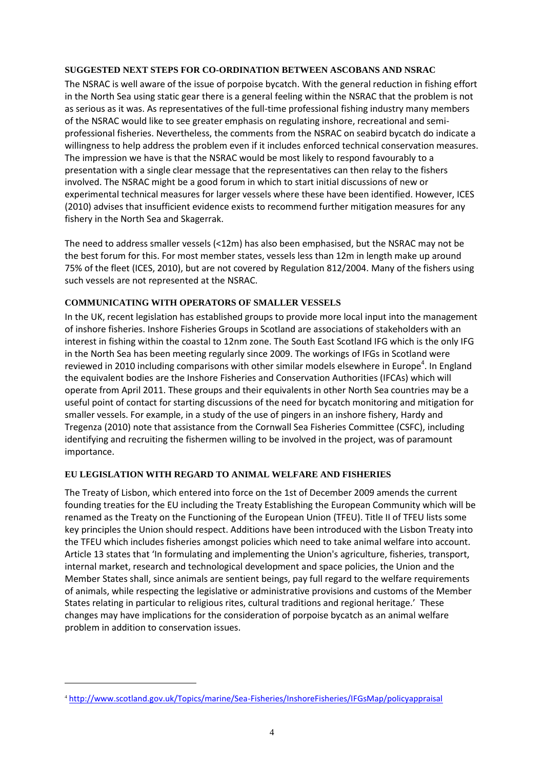#### **SUGGESTED NEXT STEPS FOR CO-ORDINATION BETWEEN ASCOBANS AND NSRAC**

The NSRAC is well aware of the issue of porpoise bycatch. With the general reduction in fishing effort in the North Sea using static gear there is a general feeling within the NSRAC that the problem is not as serious as it was. As representatives of the full-time professional fishing industry many members of the NSRAC would like to see greater emphasis on regulating inshore, recreational and semiprofessional fisheries. Nevertheless, the comments from the NSRAC on seabird bycatch do indicate a willingness to help address the problem even if it includes enforced technical conservation measures. The impression we have is that the NSRAC would be most likely to respond favourably to a presentation with a single clear message that the representatives can then relay to the fishers involved. The NSRAC might be a good forum in which to start initial discussions of new or experimental technical measures for larger vessels where these have been identified. However, ICES (2010) advises that insufficient evidence exists to recommend further mitigation measures for any fishery in the North Sea and Skagerrak.

The need to address smaller vessels (<12m) has also been emphasised, but the NSRAC may not be the best forum for this. For most member states, vessels less than 12m in length make up around 75% of the fleet (ICES, 2010), but are not covered by Regulation 812/2004. Many of the fishers using such vessels are not represented at the NSRAC.

#### **COMMUNICATING WITH OPERATORS OF SMALLER VESSELS**

In the UK, recent legislation has established groups to provide more local input into the management of inshore fisheries. Inshore Fisheries Groups in Scotland are associations of stakeholders with an interest in fishing within the coastal to 12nm zone. The South East Scotland IFG which is the only IFG in the North Sea has been meeting regularly since 2009. The workings of IFGs in Scotland were reviewed in 2010 including comparisons with other similar models elsewhere in Europe<sup>4</sup>. In England the equivalent bodies are the Inshore Fisheries and Conservation Authorities (IFCAs) which will operate from April 2011. These groups and their equivalents in other North Sea countries may be a useful point of contact for starting discussions of the need for bycatch monitoring and mitigation for smaller vessels. For example, in a study of the use of pingers in an inshore fishery, Hardy and Tregenza (2010) note that assistance from the Cornwall Sea Fisheries Committee (CSFC), including identifying and recruiting the fishermen willing to be involved in the project, was of paramount importance.

## **EU LEGISLATION WITH REGARD TO ANIMAL WELFARE AND FISHERIES**

The Treaty of Lisbon, which entered into force on the 1st of December 2009 amends the current founding treaties for the EU including the Treaty Establishing the European Community which will be renamed as the Treaty on the Functioning of the European Union (TFEU). Title II of TFEU lists some key principles the Union should respect. Additions have been introduced with the Lisbon Treaty into the TFEU which includes fisheries amongst policies which need to take animal welfare into account. Article 13 states that 'In formulating and implementing the Union's agriculture, fisheries, transport, internal market, research and technological development and space policies, the Union and the Member States shall, since animals are sentient beings, pay full regard to the welfare requirements of animals, while respecting the legislative or administrative provisions and customs of the Member States relating in particular to religious rites, cultural traditions and regional heritage.' These changes may have implications for the consideration of porpoise bycatch as an animal welfare problem in addition to conservation issues.

 $\overline{\phantom{a}}$ 

<sup>4</sup> <http://www.scotland.gov.uk/Topics/marine/Sea-Fisheries/InshoreFisheries/IFGsMap/policyappraisal>